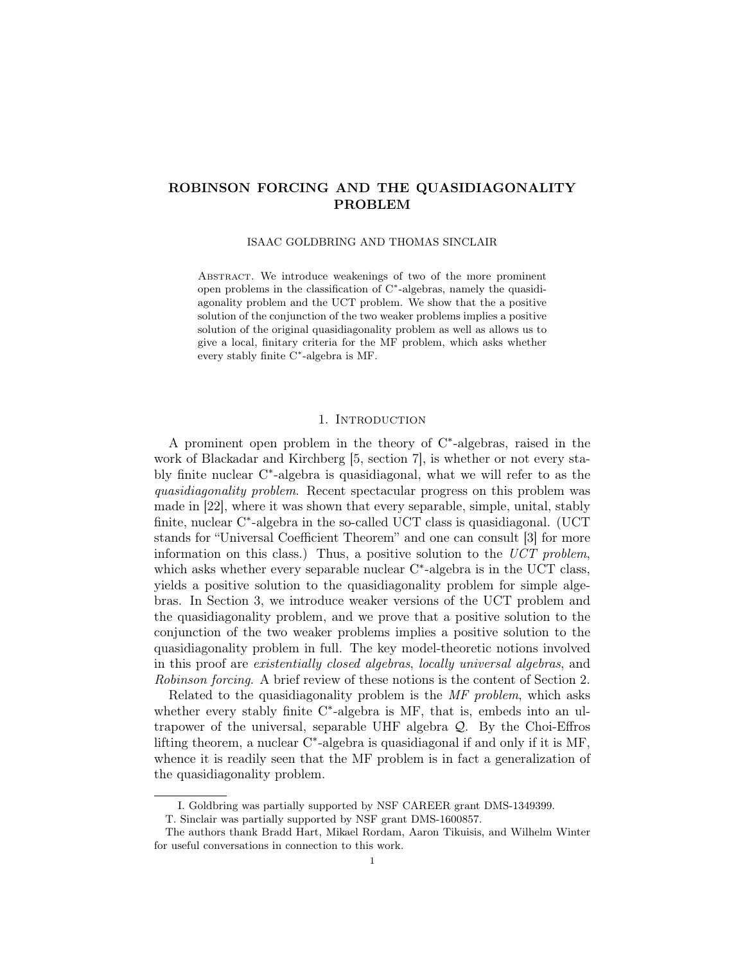## ROBINSON FORCING AND THE QUASIDIAGONALITY PROBLEM

ISAAC GOLDBRING AND THOMAS SINCLAIR

ABSTRACT. We introduce weakenings of two of the more prominent open problems in the classification of C<sup>\*</sup>-algebras, namely the quasidiagonality problem and the UCT problem. We show that the a positive solution of the conjunction of the two weaker problems implies a positive solution of the original quasidiagonality problem as well as allows us to give a local, finitary criteria for the MF problem, which asks whether every stably finite C ∗ -algebra is MF.

### 1. INTRODUCTION

A prominent open problem in the theory of  $C^*$ -algebras, raised in the work of Blackadar and Kirchberg [5, section 7], is whether or not every stably finite nuclear C<sup>\*</sup>-algebra is quasidiagonal, what we will refer to as the quasidiagonality problem. Recent spectacular progress on this problem was made in [22], where it was shown that every separable, simple, unital, stably finite, nuclear C<sup>\*</sup>-algebra in the so-called UCT class is quasidiagonal. (UCT stands for "Universal Coefficient Theorem" and one can consult [3] for more information on this class.) Thus, a positive solution to the  $\textit{UCT problem}$ , which asks whether every separable nuclear C<sup>\*</sup>-algebra is in the UCT class, yields a positive solution to the quasidiagonality problem for simple algebras. In Section 3, we introduce weaker versions of the UCT problem and the quasidiagonality problem, and we prove that a positive solution to the conjunction of the two weaker problems implies a positive solution to the quasidiagonality problem in full. The key model-theoretic notions involved in this proof are existentially closed algebras, locally universal algebras, and Robinson forcing. A brief review of these notions is the content of Section 2.

Related to the quasidiagonality problem is the MF problem, which asks whether every stably finite  $C^*$ -algebra is MF, that is, embeds into an ultrapower of the universal, separable UHF algebra  $\mathcal{Q}$ . By the Choi-Effros lifting theorem, a nuclear C<sup>\*</sup>-algebra is quasidiagonal if and only if it is MF, whence it is readily seen that the MF problem is in fact a generalization of the quasidiagonality problem.

I. Goldbring was partially supported by NSF CAREER grant DMS-1349399.

T. Sinclair was partially supported by NSF grant DMS-1600857.

The authors thank Bradd Hart, Mikael Rordam, Aaron Tikuisis, and Wilhelm Winter for useful conversations in connection to this work.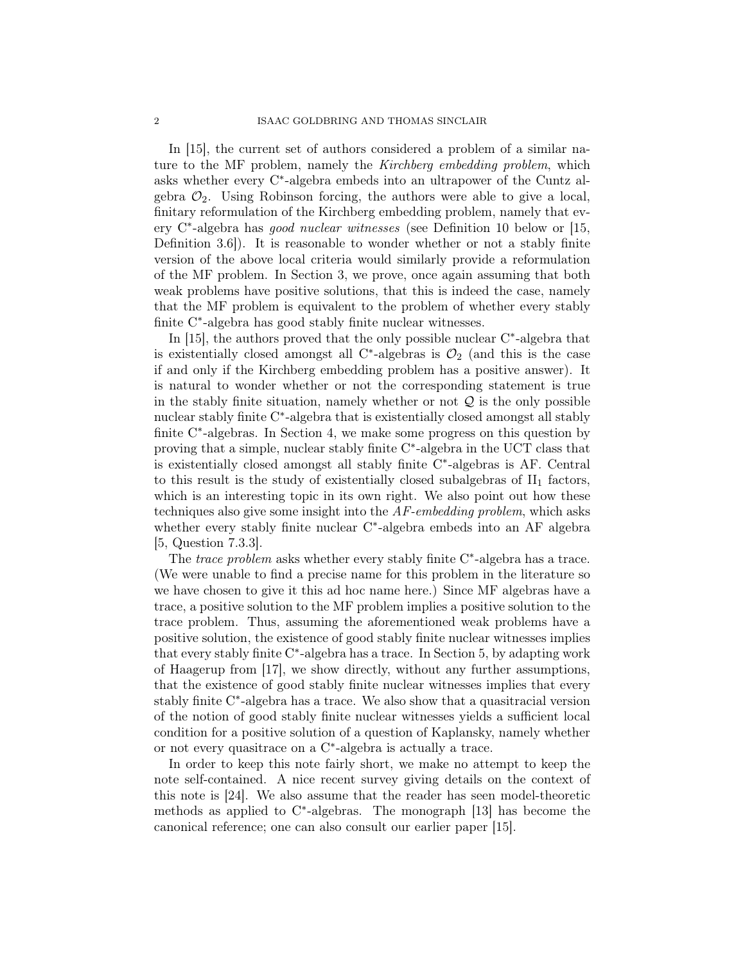In [15], the current set of authors considered a problem of a similar nature to the MF problem, namely the *Kirchberg embedding problem*, which asks whether every C<sup>\*</sup>-algebra embeds into an ultrapower of the Cuntz algebra  $\mathcal{O}_2$ . Using Robinson forcing, the authors were able to give a local, finitary reformulation of the Kirchberg embedding problem, namely that every C<sup>\*</sup>-algebra has *good nuclear witnesses* (see Definition 10 below or [15, Definition 3.6]). It is reasonable to wonder whether or not a stably finite version of the above local criteria would similarly provide a reformulation of the MF problem. In Section 3, we prove, once again assuming that both weak problems have positive solutions, that this is indeed the case, namely that the MF problem is equivalent to the problem of whether every stably finite C<sup>\*</sup>-algebra has good stably finite nuclear witnesses.

In  $[15]$ , the authors proved that the only possible nuclear  $C^*$ -algebra that is existentially closed amongst all C<sup>\*</sup>-algebras is  $\mathcal{O}_2$  (and this is the case if and only if the Kirchberg embedding problem has a positive answer). It is natural to wonder whether or not the corresponding statement is true in the stably finite situation, namely whether or not  $\mathcal Q$  is the only possible nuclear stably finite C<sup>\*</sup>-algebra that is existentially closed amongst all stably finite C<sup>\*</sup>-algebras. In Section 4, we make some progress on this question by proving that a simple, nuclear stably finite C<sup>\*</sup>-algebra in the UCT class that is existentially closed amongst all stably finite C<sup>\*</sup>-algebras is AF. Central to this result is the study of existentially closed subalgebras of  $II_1$  factors, which is an interesting topic in its own right. We also point out how these techniques also give some insight into the AF-embedding problem, which asks whether every stably finite nuclear C\*-algebra embeds into an AF algebra [5, Question 7.3.3].

The *trace problem* asks whether every stably finite  $C^*$ -algebra has a trace. (We were unable to find a precise name for this problem in the literature so we have chosen to give it this ad hoc name here.) Since MF algebras have a trace, a positive solution to the MF problem implies a positive solution to the trace problem. Thus, assuming the aforementioned weak problems have a positive solution, the existence of good stably finite nuclear witnesses implies that every stably finite C ∗ -algebra has a trace. In Section 5, by adapting work of Haagerup from [17], we show directly, without any further assumptions, that the existence of good stably finite nuclear witnesses implies that every stably finite C<sup>\*</sup>-algebra has a trace. We also show that a quasitracial version of the notion of good stably finite nuclear witnesses yields a sufficient local condition for a positive solution of a question of Kaplansky, namely whether or not every quasitrace on a C<sup>\*</sup>-algebra is actually a trace.

In order to keep this note fairly short, we make no attempt to keep the note self-contained. A nice recent survey giving details on the context of this note is [24]. We also assume that the reader has seen model-theoretic methods as applied to C<sup>\*</sup>-algebras. The monograph [13] has become the canonical reference; one can also consult our earlier paper [15].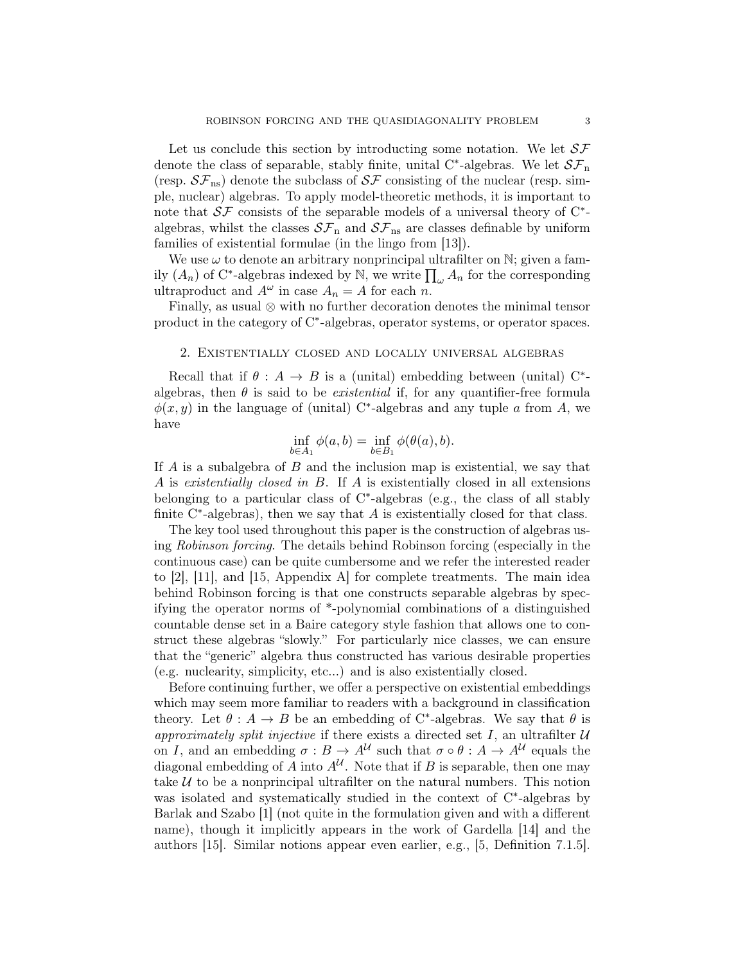Let us conclude this section by introducting some notation. We let  $S\mathcal{F}$ denote the class of separable, stably finite, unital C<sup>\*</sup>-algebras. We let  $\mathcal{SF}_n$ (resp.  $S\mathcal{F}_{\text{ns}}$ ) denote the subclass of  $S\mathcal{F}$  consisting of the nuclear (resp. simple, nuclear) algebras. To apply model-theoretic methods, it is important to note that  $\mathcal{SF}$  consists of the separable models of a universal theory of  $C^*$ algebras, whilst the classes  $S\mathcal{F}_n$  and  $S\mathcal{F}_{ns}$  are classes definable by uniform families of existential formulae (in the lingo from [13]).

We use  $\omega$  to denote an arbitrary nonprincipal ultrafilter on  $\mathbb{N}$ ; given a family  $(A_n)$  of C<sup>\*</sup>-algebras indexed by N, we write  $\prod_{\omega} A_n$  for the corresponding ultraproduct and  $A^{\omega}$  in case  $A_n = A$  for each n.

Finally, as usual ⊗ with no further decoration denotes the minimal tensor product in the category of C<sup>∗</sup> -algebras, operator systems, or operator spaces.

#### 2. Existentially closed and locally universal algebras

Recall that if  $\theta : A \to B$  is a (unital) embedding between (unital) C<sup>\*</sup>algebras, then  $\theta$  is said to be *existential* if, for any quantifier-free formula  $\phi(x, y)$  in the language of (unital) C<sup>\*</sup>-algebras and any tuple a from A, we have

$$
\inf_{b \in A_1} \phi(a, b) = \inf_{b \in B_1} \phi(\theta(a), b).
$$

If A is a subalgebra of B and the inclusion map is existential, we say that A is existentially closed in B. If A is existentially closed in all extensions belonging to a particular class of C<sup>\*</sup>-algebras (e.g., the class of all stably finite  $C^*$ -algebras), then we say that  $A$  is existentially closed for that class.

The key tool used throughout this paper is the construction of algebras using Robinson forcing. The details behind Robinson forcing (especially in the continuous case) can be quite cumbersome and we refer the interested reader to [2], [11], and [15, Appendix A] for complete treatments. The main idea behind Robinson forcing is that one constructs separable algebras by specifying the operator norms of \*-polynomial combinations of a distinguished countable dense set in a Baire category style fashion that allows one to construct these algebras "slowly." For particularly nice classes, we can ensure that the "generic" algebra thus constructed has various desirable properties (e.g. nuclearity, simplicity, etc...) and is also existentially closed.

Before continuing further, we offer a perspective on existential embeddings which may seem more familiar to readers with a background in classification theory. Let  $\theta: A \to B$  be an embedding of C<sup>\*</sup>-algebras. We say that  $\theta$  is approximately split injective if there exists a directed set I, an ultrafilter  $U$ on I, and an embedding  $\sigma: B \to A^{\mathcal{U}}$  such that  $\sigma \circ \theta: A \to A^{\mathcal{U}}$  equals the diagonal embedding of A into  $A^{\mathcal{U}}$ . Note that if B is separable, then one may take  $U$  to be a nonprincipal ultrafilter on the natural numbers. This notion was isolated and systematically studied in the context of C<sup>∗</sup>-algebras by Barlak and Szabo [1] (not quite in the formulation given and with a different name), though it implicitly appears in the work of Gardella [14] and the authors [15]. Similar notions appear even earlier, e.g., [5, Definition 7.1.5].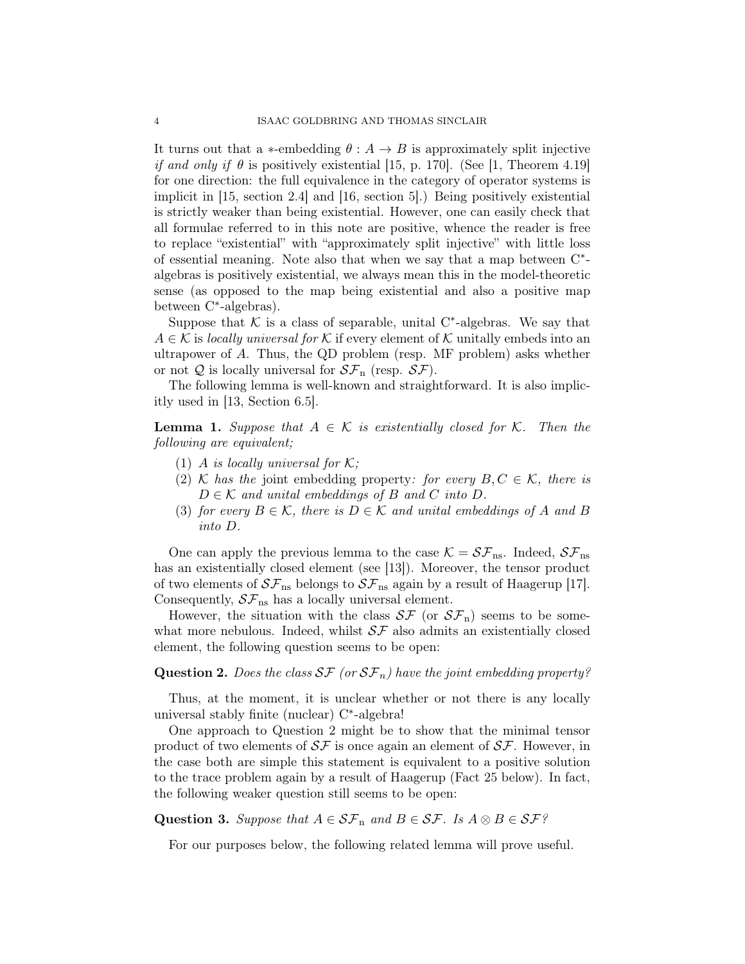It turns out that a  $*$ -embedding  $\theta : A \to B$  is approximately split injective if and only if  $\theta$  is positively existential [15, p. 170]. (See [1, Theorem 4.19] for one direction: the full equivalence in the category of operator systems is implicit in [15, section 2.4] and [16, section 5].) Being positively existential is strictly weaker than being existential. However, one can easily check that all formulae referred to in this note are positive, whence the reader is free to replace "existential" with "approximately split injective" with little loss of essential meaning. Note also that when we say that a map between C<sup>\*</sup>algebras is positively existential, we always mean this in the model-theoretic sense (as opposed to the map being existential and also a positive map between C<sup>\*</sup>-algebras).

Suppose that  $K$  is a class of separable, unital C<sup>\*</sup>-algebras. We say that  $A \in \mathcal{K}$  is locally universal for K if every element of K unitally embeds into an ultrapower of A. Thus, the QD problem (resp. MF problem) asks whether or not Q is locally universal for  $\mathcal{SF}_n$  (resp.  $\mathcal{SF}$ ).

The following lemma is well-known and straightforward. It is also implicitly used in [13, Section 6.5].

**Lemma 1.** Suppose that  $A \in \mathcal{K}$  is existentially closed for  $\mathcal{K}$ . Then the following are equivalent;

- (1) A is locally universal for  $\mathcal{K}$ ;
- (2) K has the joint embedding property: for every  $B, C \in \mathcal{K}$ , there is  $D \in \mathcal{K}$  and unital embeddings of B and C into D.
- (3) for every  $B \in \mathcal{K}$ , there is  $D \in \mathcal{K}$  and unital embeddings of A and B into D.

One can apply the previous lemma to the case  $\mathcal{K} = S\mathcal{F}_{\text{ns}}$ . Indeed,  $S\mathcal{F}_{\text{ns}}$ has an existentially closed element (see [13]). Moreover, the tensor product of two elements of  $S\mathcal{F}_{\text{ns}}$  belongs to  $S\mathcal{F}_{\text{ns}}$  again by a result of Haagerup [17]. Consequently,  $S\mathcal{F}_{\text{ns}}$  has a locally universal element.

However, the situation with the class  $\mathcal{SF}$  (or  $\mathcal{SF}_n$ ) seems to be somewhat more nebulous. Indeed, whilst  $S\mathcal{F}$  also admits an existentially closed element, the following question seems to be open:

## **Question 2.** Does the class  $SF$  (or  $SF_n$ ) have the joint embedding property?

Thus, at the moment, it is unclear whether or not there is any locally universal stably finite (nuclear) C<sup>\*</sup>-algebra!

One approach to Question 2 might be to show that the minimal tensor product of two elements of  $S\mathcal{F}$  is once again an element of  $S\mathcal{F}$ . However, in the case both are simple this statement is equivalent to a positive solution to the trace problem again by a result of Haagerup (Fact 25 below). In fact, the following weaker question still seems to be open:

Question 3. Suppose that  $A \in \mathcal{SF}_n$  and  $B \in \mathcal{SF}$ . Is  $A \otimes B \in \mathcal{SF}$ ?

For our purposes below, the following related lemma will prove useful.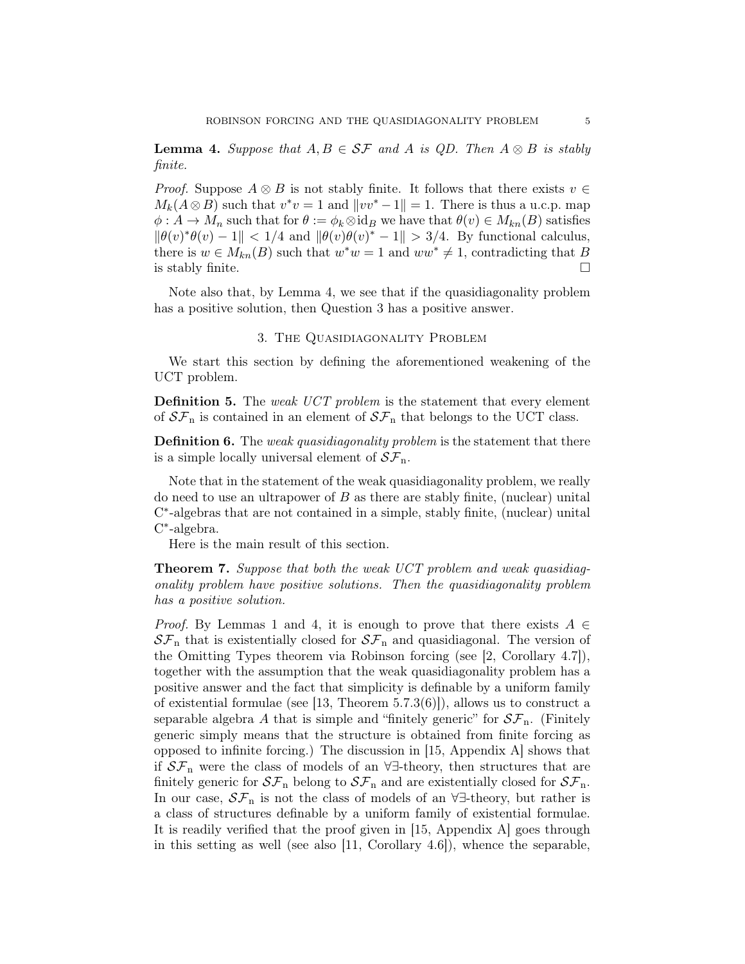**Lemma 4.** Suppose that  $A, B \in SF$  and  $A$  is QD. Then  $A \otimes B$  is stably finite.

*Proof.* Suppose  $A \otimes B$  is not stably finite. It follows that there exists  $v \in$  $M_k(A \otimes B)$  such that  $v^*v = 1$  and  $||vv^* - 1|| = 1$ . There is thus a u.c.p. map  $\phi: A \to M_n$  such that for  $\theta := \phi_k \otimes id_B$  we have that  $\theta(v) \in M_{kn}(B)$  satisfies  $\|\theta(v)^*\theta(v)-1\| < 1/4$  and  $\|\theta(v)\theta(v)^*-1\| > 3/4$ . By functional calculus, there is  $w \in M_{kn}(B)$  such that  $w^*w = 1$  and  $ww^* \neq 1$ , contradicting that B is stably finite.  $\Box$ 

Note also that, by Lemma 4, we see that if the quasidiagonality problem has a positive solution, then Question 3 has a positive answer.

#### 3. The Quasidiagonality Problem

We start this section by defining the aforementioned weakening of the UCT problem.

**Definition 5.** The weak UCT problem is the statement that every element of  $S\mathcal{F}_n$  is contained in an element of  $S\mathcal{F}_n$  that belongs to the UCT class.

**Definition 6.** The weak quasidiagonality problem is the statement that there is a simple locally universal element of  $\mathcal{SF}_n$ .

Note that in the statement of the weak quasidiagonality problem, we really do need to use an ultrapower of  $B$  as there are stably finite, (nuclear) unital C ∗ -algebras that are not contained in a simple, stably finite, (nuclear) unital C ∗ -algebra.

Here is the main result of this section.

Theorem 7. Suppose that both the weak UCT problem and weak quasidiagonality problem have positive solutions. Then the quasidiagonality problem has a positive solution.

*Proof.* By Lemmas 1 and 4, it is enough to prove that there exists  $A \in$  $S\mathcal{F}_n$  that is existentially closed for  $S\mathcal{F}_n$  and quasidiagonal. The version of the Omitting Types theorem via Robinson forcing (see [2, Corollary 4.7]), together with the assumption that the weak quasidiagonality problem has a positive answer and the fact that simplicity is definable by a uniform family of existential formulae (see [13, Theorem  $5.7.3(6)$ ]), allows us to construct a separable algebra A that is simple and "finitely generic" for  $\mathcal{SF}_n$ . (Finitely generic simply means that the structure is obtained from finite forcing as opposed to infinite forcing.) The discussion in [15, Appendix A] shows that if  $S\mathcal{F}_n$  were the class of models of an  $\forall \exists$ -theory, then structures that are finitely generic for  $S\mathcal{F}_n$  belong to  $S\mathcal{F}_n$  and are existentially closed for  $S\mathcal{F}_n$ . In our case,  $S\mathcal{F}_n$  is not the class of models of an  $\forall \exists$ -theory, but rather is a class of structures definable by a uniform family of existential formulae. It is readily verified that the proof given in [15, Appendix A] goes through in this setting as well (see also  $[11,$  Corollary  $[4.6]$ ), whence the separable,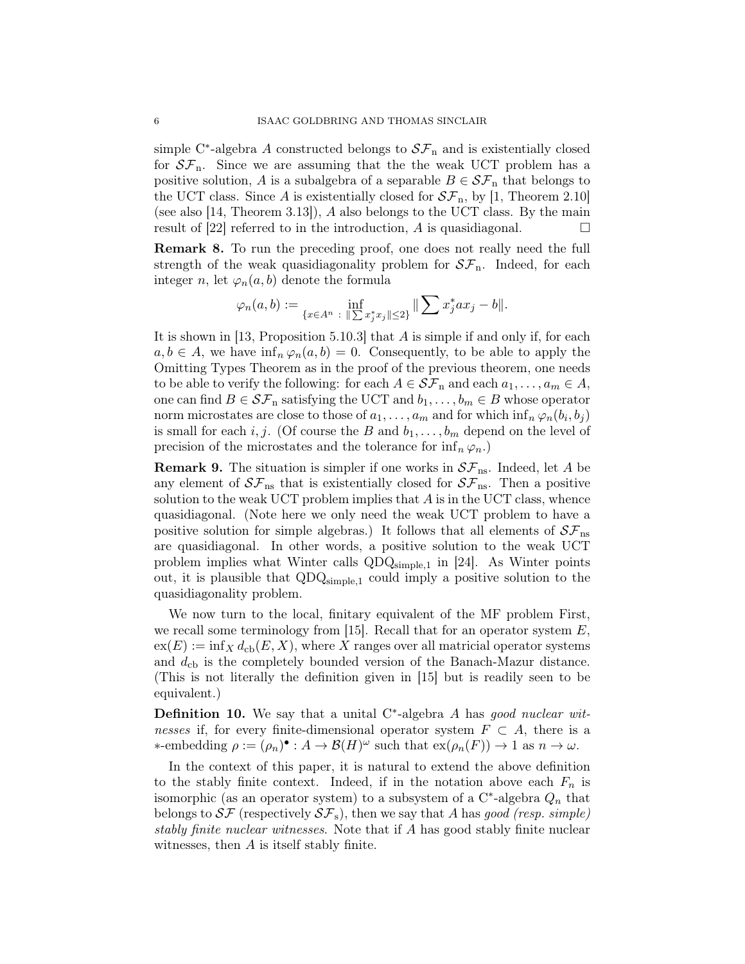simple C<sup>\*</sup>-algebra A constructed belongs to  $S\mathcal{F}_n$  and is existentially closed for  $S\mathcal{F}_n$ . Since we are assuming that the the weak UCT problem has a positive solution, A is a subalgebra of a separable  $B \in \mathcal{SF}_n$  that belongs to the UCT class. Since A is existentially closed for  $\mathcal{SF}_n$ , by [1, Theorem 2.10] (see also [14, Theorem 3.13]), A also belongs to the UCT class. By the main result of [22] referred to in the introduction, A is quasidiagonal.

Remark 8. To run the preceding proof, one does not really need the full strength of the weak quasidiagonality problem for  $S\mathcal{F}_n$ . Indeed, for each integer n, let  $\varphi_n(a, b)$  denote the formula

$$
\varphi_n(a, b) := \inf_{\{x \in A^n \ : \ \| \sum x_j^* x_j \| \le 2\}} \| \sum x_j^* a x_j - b \|.
$$

It is shown in [13, Proposition 5.10.3] that A is simple if and only if, for each  $a, b \in A$ , we have  $\inf_n \varphi_n(a, b) = 0$ . Consequently, to be able to apply the Omitting Types Theorem as in the proof of the previous theorem, one needs to be able to verify the following: for each  $A \in \mathcal{SF}_n$  and each  $a_1, \ldots, a_m \in A$ , one can find  $B \in \mathcal{SF}_n$  satisfying the UCT and  $b_1, \ldots, b_m \in B$  whose operator norm microstates are close to those of  $a_1, \ldots, a_m$  and for which  $\inf_n \varphi_n(b_i, b_j)$ is small for each i, j. (Of course the B and  $b_1, \ldots, b_m$  depend on the level of precision of the microstates and the tolerance for  $\inf_n \varphi_n$ .

**Remark 9.** The situation is simpler if one works in  $S\mathcal{F}_{\text{ns}}$ . Indeed, let A be any element of  $S\mathcal{F}_{\text{ns}}$  that is existentially closed for  $S\mathcal{F}_{\text{ns}}$ . Then a positive solution to the weak UCT problem implies that  $A$  is in the UCT class, whence quasidiagonal. (Note here we only need the weak UCT problem to have a positive solution for simple algebras.) It follows that all elements of  $S\mathcal{F}_{\text{ns}}$ are quasidiagonal. In other words, a positive solution to the weak UCT problem implies what Winter calls  $QDQ_{simple,1}$  in [24]. As Winter points out, it is plausible that  $QDQ_{simple,1}$  could imply a positive solution to the quasidiagonality problem.

We now turn to the local, finitary equivalent of the MF problem First, we recall some terminology from [15]. Recall that for an operator system  $E$ ,  $ex(E) := inf_X d_{cb}(E, X)$ , where X ranges over all matricial operator systems and  $d_{\rm cb}$  is the completely bounded version of the Banach-Mazur distance. (This is not literally the definition given in [15] but is readily seen to be equivalent.)

**Definition 10.** We say that a unital C\*-algebra  $A$  has good nuclear witnesses if, for every finite-dimensional operator system  $F \subset A$ , there is a  $\ast$ -embedding  $ρ := (ρ_n)$ <sup> $\bullet$ </sup> :  $A → B(H)$ <sup>ω</sup> such that  $ex(p_n(F)) → 1$  as  $n → ω$ .

In the context of this paper, it is natural to extend the above definition to the stably finite context. Indeed, if in the notation above each  $F_n$  is isomorphic (as an operator system) to a subsystem of a  $C^*$ -algebra  $Q_n$  that belongs to  $S\mathcal{F}$  (respectively  $S\mathcal{F}_s$ ), then we say that A has good (resp. simple) stably finite nuclear witnesses. Note that if A has good stably finite nuclear witnesses, then A is itself stably finite.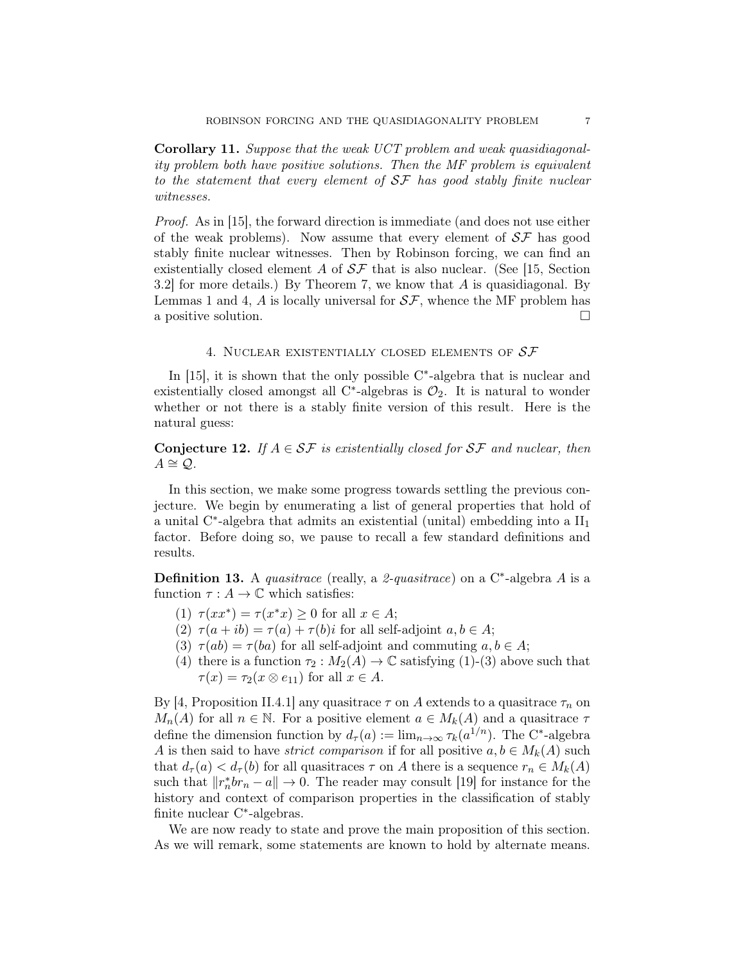Corollary 11. Suppose that the weak UCT problem and weak quasidiagonality problem both have positive solutions. Then the MF problem is equivalent to the statement that every element of  $S\mathcal{F}$  has good stably finite nuclear witnesses.

Proof. As in [15], the forward direction is immediate (and does not use either of the weak problems). Now assume that every element of  $S\mathcal{F}$  has good stably finite nuclear witnesses. Then by Robinson forcing, we can find an existentially closed element A of  $S\mathcal{F}$  that is also nuclear. (See [15, Section 3.2] for more details.) By Theorem 7, we know that A is quasidiagonal. By Lemmas 1 and 4,  $\hat{A}$  is locally universal for  $\mathcal{SF}$ , whence the MF problem has a positive solution.

#### 4. NUCLEAR EXISTENTIALLY CLOSED ELEMENTS OF  $S\mathcal{F}$

In  $[15]$ , it is shown that the only possible  $C^*$ -algebra that is nuclear and existentially closed amongst all C<sup>\*</sup>-algebras is  $\mathcal{O}_2$ . It is natural to wonder whether or not there is a stably finite version of this result. Here is the natural guess:

**Conjecture 12.** If  $A \in \mathcal{SF}$  is existentially closed for  $\mathcal{SF}$  and nuclear, then  $A \cong \mathcal{Q}$ .

In this section, we make some progress towards settling the previous conjecture. We begin by enumerating a list of general properties that hold of a unital  $C^*$ -algebra that admits an existential (unital) embedding into a  $II_1$ factor. Before doing so, we pause to recall a few standard definitions and results.

**Definition 13.** A *quasitrace* (really, a 2-*quasitrace*) on a C<sup>\*</sup>-algebra A is a function  $\tau : A \to \mathbb{C}$  which satisfies:

- (1)  $\tau(xx^*) = \tau(x^*x) \geq 0$  for all  $x \in A$ ;
- (2)  $\tau(a+ib) = \tau(a) + \tau(b)i$  for all self-adjoint  $a, b \in A$ ;
- (3)  $\tau(ab) = \tau(ba)$  for all self-adjoint and commuting  $a, b \in A$ ;
- (4) there is a function  $\tau_2 : M_2(A) \to \mathbb{C}$  satisfying (1)-(3) above such that  $\tau(x) = \tau_2(x \otimes e_{11})$  for all  $x \in A$ .

By [4, Proposition II.4.1] any quasitrace  $\tau$  on A extends to a quasitrace  $\tau_n$  on  $M_n(A)$  for all  $n \in \mathbb{N}$ . For a positive element  $a \in M_k(A)$  and a quasitrace  $\tau$ define the dimension function by  $d_{\tau}(a) := \lim_{n \to \infty} \tau_k(a^{1/n})$ . The C<sup>\*</sup>-algebra A is then said to have *strict comparison* if for all positive  $a, b \in M_k(A)$  such that  $d_{\tau}(a) < d_{\tau}(b)$  for all quasitraces  $\tau$  on A there is a sequence  $r_n \in M_k(A)$ such that  $||r_n^*br_n - a|| \to 0$ . The reader may consult [19] for instance for the history and context of comparison properties in the classification of stably finite nuclear C<sup>∗</sup> -algebras.

We are now ready to state and prove the main proposition of this section. As we will remark, some statements are known to hold by alternate means.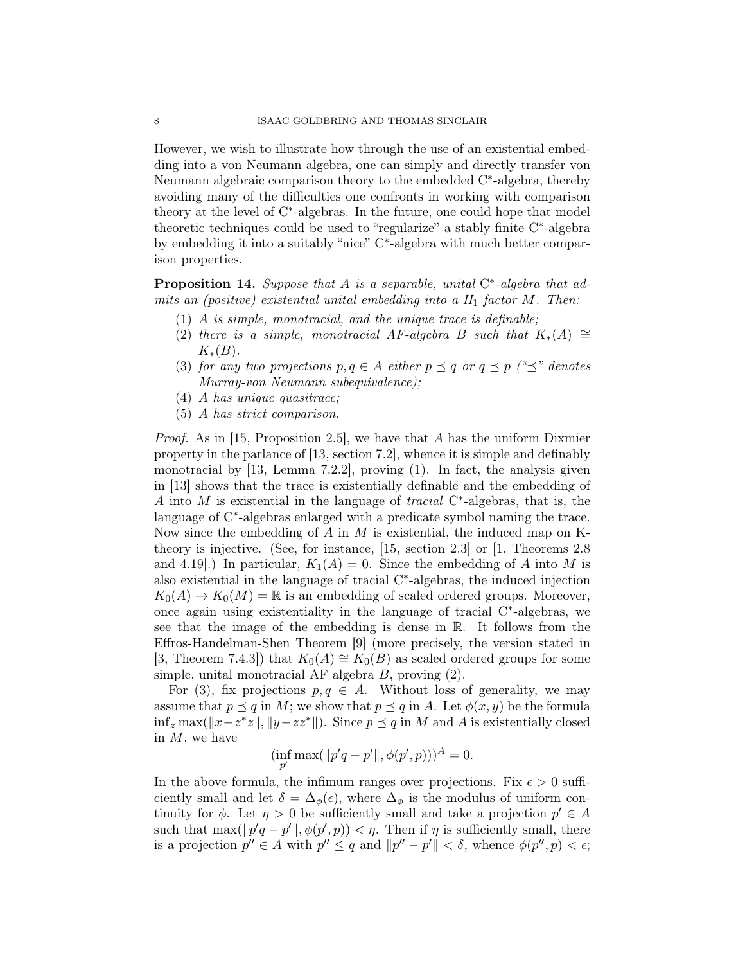However, we wish to illustrate how through the use of an existential embedding into a von Neumann algebra, one can simply and directly transfer von Neumann algebraic comparison theory to the embedded C<sup>\*</sup>-algebra, thereby avoiding many of the difficulties one confronts in working with comparison theory at the level of C<sup>∗</sup> -algebras. In the future, one could hope that model theoretic techniques could be used to "regularize" a stably finite C<sup>∗</sup> -algebra by embedding it into a suitably "nice" C<sup>∗</sup> -algebra with much better comparison properties.

**Proposition 14.** Suppose that A is a separable, unital  $C^*$ -algebra that admits an (positive) existential unital embedding into a  $II_1$  factor  $M$ . Then:

- (1) A is simple, monotracial, and the unique trace is definable;
- (2) there is a simple, monotracial AF-algebra B such that  $K_*(A) \cong$  $K_*(B)$ .
- (3) for any two projections  $p, q \in A$  either  $p \preceq q$  or  $q \preceq p$  (" $\preceq$ " denotes Murray-von Neumann subequivalence);
- (4) A has unique quasitrace;
- (5) A has strict comparison.

*Proof.* As in [15, Proposition 2.5], we have that A has the uniform Dixmier property in the parlance of [13, section 7.2], whence it is simple and definably monotracial by  $[13, \text{ Lemma } 7.2.2],$  proving  $(1).$  In fact, the analysis given in [13] shows that the trace is existentially definable and the embedding of A into M is existential in the language of *tracial*  $C^*$ -algebras, that is, the language of C<sup>\*</sup>-algebras enlarged with a predicate symbol naming the trace. Now since the embedding of  $A$  in  $M$  is existential, the induced map on Ktheory is injective. (See, for instance, [15, section 2.3] or [1, Theorems 2.8 and 4.19. In particular,  $K_1(A) = 0$ . Since the embedding of A into M is also existential in the language of tracial C\*-algebras, the induced injection  $K_0(A) \to K_0(M) = \mathbb{R}$  is an embedding of scaled ordered groups. Moreover, once again using existentiality in the language of tracial C ∗ -algebras, we see that the image of the embedding is dense in R. It follows from the Effros-Handelman-Shen Theorem [9] (more precisely, the version stated in [3, Theorem 7.4.3]) that  $K_0(A) \cong K_0(B)$  as scaled ordered groups for some simple, unital monotracial AF algebra  $B$ , proving  $(2)$ .

For (3), fix projections  $p, q \in A$ . Without loss of generality, we may assume that  $p \preceq q$  in M; we show that  $p \preceq q$  in A. Let  $\phi(x, y)$  be the formula  $\inf_z \max(||x-z^*z||, ||y-zz^*||)$ . Since  $p \leq q$  in M and A is existentially closed in  $M$ , we have

$$
(\inf_{p'} \max(||p'q - p'||, \phi(p', p)))^A = 0.
$$

In the above formula, the infimum ranges over projections. Fix  $\epsilon > 0$  sufficiently small and let  $\delta = \Delta_{\phi}(\epsilon)$ , where  $\Delta_{\phi}$  is the modulus of uniform continuity for  $\phi$ . Let  $\eta > 0$  be sufficiently small and take a projection  $p' \in A$ such that  $\max(\Vert p'q - p' \Vert, \phi(p', p)) < \eta$ . Then if  $\eta$  is sufficiently small, there is a projection  $p'' \in A$  with  $p'' \leq q$  and  $||p'' - p'|| < \delta$ , whence  $\phi(p'', p) < \epsilon$ ;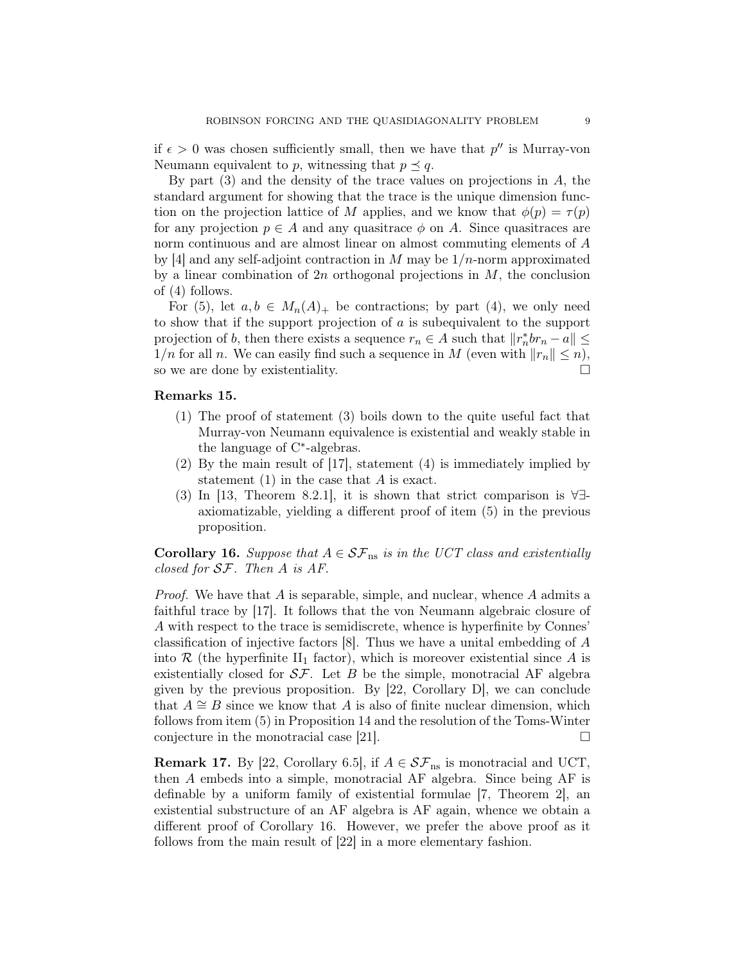if  $\epsilon > 0$  was chosen sufficiently small, then we have that  $p''$  is Murray-von Neumann equivalent to p, witnessing that  $p \preceq q$ .

By part  $(3)$  and the density of the trace values on projections in A, the standard argument for showing that the trace is the unique dimension function on the projection lattice of M applies, and we know that  $\phi(p) = \tau(p)$ for any projection  $p \in A$  and any quasitrace  $\phi$  on A. Since quasitraces are norm continuous and are almost linear on almost commuting elements of A by [4] and any self-adjoint contraction in M may be  $1/n$ -norm approximated by a linear combination of  $2n$  orthogonal projections in  $M$ , the conclusion of (4) follows.

For (5), let  $a, b \in M_n(A)_+$  be contractions; by part (4), we only need to show that if the support projection of a is subequivalent to the support projection of b, then there exists a sequence  $r_n \in A$  such that  $||r_n^* b r_n - a|| \le$  $1/n$  for all n. We can easily find such a sequence in M (even with  $||r_n|| \leq n$ ), so we are done by existentiality.

### Remarks 15.

- (1) The proof of statement (3) boils down to the quite useful fact that Murray-von Neumann equivalence is existential and weakly stable in the language of C<sup>∗</sup> -algebras.
- (2) By the main result of [17], statement (4) is immediately implied by statement  $(1)$  in the case that A is exact.
- (3) In [13, Theorem 8.2.1], it is shown that strict comparison is ∀∃ axiomatizable, yielding a different proof of item (5) in the previous proposition.

**Corollary 16.** Suppose that  $A \in \mathcal{SF}_{\text{ns}}$  is in the UCT class and existentially closed for SF. Then A is AF.

*Proof.* We have that  $A$  is separable, simple, and nuclear, whence  $A$  admits a faithful trace by [17]. It follows that the von Neumann algebraic closure of A with respect to the trace is semidiscrete, whence is hyperfinite by Connes' classification of injective factors [8]. Thus we have a unital embedding of A into  $\mathcal R$  (the hyperfinite II<sub>1</sub> factor), which is moreover existential since A is existentially closed for  $S\mathcal{F}$ . Let B be the simple, monotracial AF algebra given by the previous proposition. By  $[22,$  Corollary D, we can conclude that  $A \cong B$  since we know that A is also of finite nuclear dimension, which follows from item (5) in Proposition 14 and the resolution of the Toms-Winter conjecture in the monotracial case [21].  $\Box$ 

**Remark 17.** By [22, Corollary 6.5], if  $A \in \mathcal{SF}_{\text{ns}}$  is monotracial and UCT, then A embeds into a simple, monotracial AF algebra. Since being AF is definable by a uniform family of existential formulae [7, Theorem 2], an existential substructure of an AF algebra is AF again, whence we obtain a different proof of Corollary 16. However, we prefer the above proof as it follows from the main result of [22] in a more elementary fashion.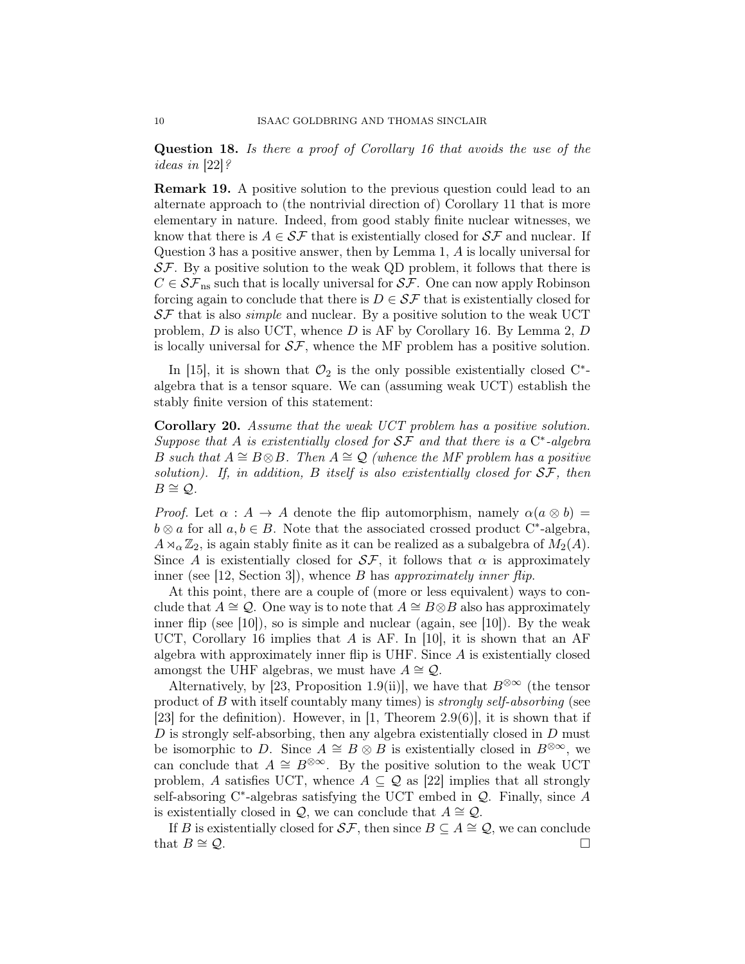Question 18. Is there a proof of Corollary 16 that avoids the use of the ideas in [22]?

Remark 19. A positive solution to the previous question could lead to an alternate approach to (the nontrivial direction of) Corollary 11 that is more elementary in nature. Indeed, from good stably finite nuclear witnesses, we know that there is  $A \in \mathcal{SF}$  that is existentially closed for  $\mathcal{SF}$  and nuclear. If Question 3 has a positive answer, then by Lemma 1, A is locally universal for  $S\mathcal{F}$ . By a positive solution to the weak QD problem, it follows that there is  $C \in \mathcal{SF}_{\text{ns}}$  such that is locally universal for  $\mathcal{SF}$ . One can now apply Robinson forcing again to conclude that there is  $D \in \mathcal{SF}$  that is existentially closed for  $S\mathcal{F}$  that is also *simple* and nuclear. By a positive solution to the weak UCT problem,  $D$  is also UCT, whence  $D$  is AF by Corollary 16. By Lemma 2,  $D$ is locally universal for  $S\mathcal{F}$ , whence the MF problem has a positive solution.

In [15], it is shown that  $\mathcal{O}_2$  is the only possible existentially closed  $C^*$ algebra that is a tensor square. We can (assuming weak UCT) establish the stably finite version of this statement:

Corollary 20. Assume that the weak UCT problem has a positive solution. Suppose that A is existentially closed for  $S\mathcal{F}$  and that there is a  $C^*$ -algebra B such that  $A \cong B \otimes B$ . Then  $A \cong \mathcal{Q}$  (whence the MF problem has a positive solution). If, in addition, B itself is also existentially closed for  $S\mathcal{F}$ , then  $B \cong \mathcal{Q}$ .

*Proof.* Let  $\alpha : A \rightarrow A$  denote the flip automorphism, namely  $\alpha(a \otimes b) =$  $b \otimes a$  for all  $a, b \in B$ . Note that the associated crossed product C<sup>\*</sup>-algebra,  $A \rtimes_{\alpha} \mathbb{Z}_2$ , is again stably finite as it can be realized as a subalgebra of  $M_2(A)$ . Since A is existentially closed for  $S\mathcal{F}$ , it follows that  $\alpha$  is approximately inner (see  $[12, Section 3]$ ), whence B has approximately inner flip.

At this point, there are a couple of (more or less equivalent) ways to conclude that  $A \cong \mathcal{Q}$ . One way is to note that  $A \cong B \otimes B$  also has approximately inner flip (see  $[10]$ ), so is simple and nuclear (again, see  $[10]$ ). By the weak UCT, Corollary 16 implies that A is AF. In [10], it is shown that an AF algebra with approximately inner flip is UHF. Since  $A$  is existentially closed amongst the UHF algebras, we must have  $A \cong \mathcal{Q}$ .

Alternatively, by [23, Proposition 1.9(ii)], we have that  $B^{\otimes \infty}$  (the tensor product of B with itself countably many times) is strongly self-absorbing (see [23] for the definition). However, in [1, Theorem 2.9(6)], it is shown that if D is strongly self-absorbing, then any algebra existentially closed in D must be isomorphic to D. Since  $A \cong B \otimes B$  is existentially closed in  $B^{\otimes \infty}$ , we can conclude that  $A \cong B^{\otimes \infty}$ . By the positive solution to the weak UCT problem, A satisfies UCT, whence  $A \subseteq Q$  as [22] implies that all strongly self-absoring  $C^*$ -algebras satisfying the UCT embed in  $Q$ . Finally, since A is existentially closed in  $\mathcal{Q}$ , we can conclude that  $A \cong \mathcal{Q}$ .

If B is existentially closed for  $S\mathcal{F}$ , then since  $B \subseteq A \cong \mathcal{Q}$ , we can conclude that  $B \cong \mathcal{Q}$ .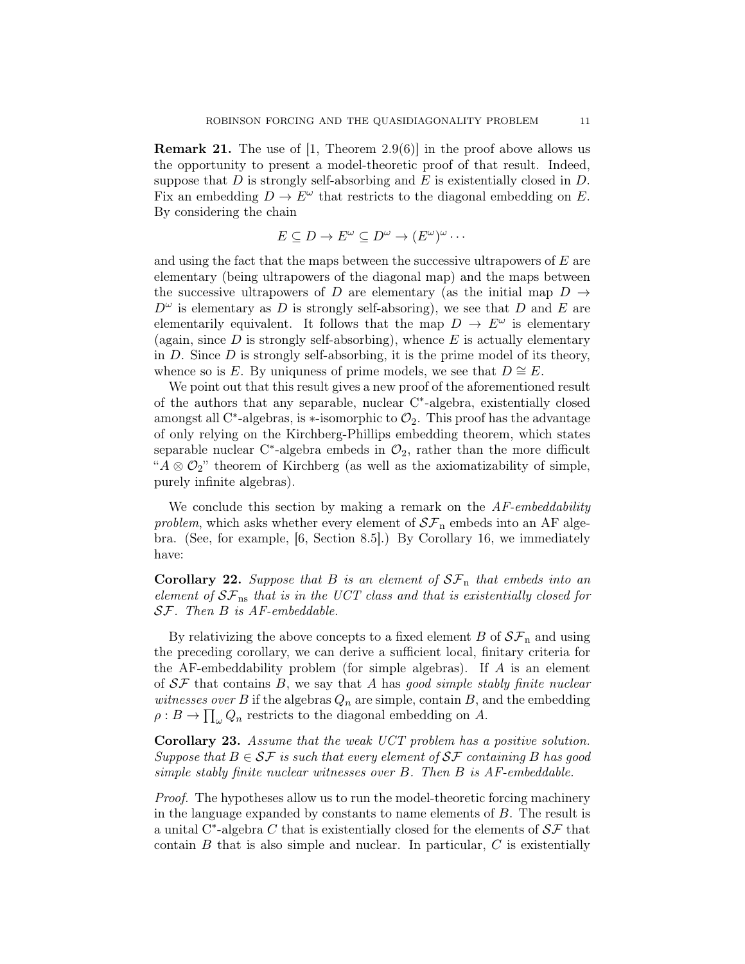**Remark 21.** The use of  $[1,$  Theorem 2.9 $(6)$ ] in the proof above allows us the opportunity to present a model-theoretic proof of that result. Indeed, suppose that  $D$  is strongly self-absorbing and  $E$  is existentially closed in  $D$ . Fix an embedding  $D \to E^{\omega}$  that restricts to the diagonal embedding on E. By considering the chain

$$
E \subseteq D \to E^{\omega} \subseteq D^{\omega} \to (E^{\omega})^{\omega} \cdots
$$

and using the fact that the maps between the successive ultrapowers of  $E$  are elementary (being ultrapowers of the diagonal map) and the maps between the successive ultrapowers of D are elementary (as the initial map  $D \rightarrow$  $D^{\omega}$  is elementary as D is strongly self-absoring), we see that D and E are elementarily equivalent. It follows that the map  $D \to E^{\omega}$  is elementary (again, since  $D$  is strongly self-absorbing), whence  $E$  is actually elementary in  $D$ . Since  $D$  is strongly self-absorbing, it is the prime model of its theory, whence so is E. By uniquess of prime models, we see that  $D \cong E$ .

We point out that this result gives a new proof of the aforementioned result of the authors that any separable, nuclear C<sup>∗</sup> -algebra, existentially closed amongst all C<sup>\*</sup>-algebras, is \*-isomorphic to  $\mathcal{O}_2$ . This proof has the advantage of only relying on the Kirchberg-Phillips embedding theorem, which states separable nuclear C<sup>\*</sup>-algebra embeds in  $\mathcal{O}_2$ , rather than the more difficult " $A \otimes \mathcal{O}_2$ " theorem of Kirchberg (as well as the axiomatizability of simple, purely infinite algebras).

We conclude this section by making a remark on the  $AF-embeddability$ problem, which asks whether every element of  $S\mathcal{F}_n$  embeds into an AF algebra. (See, for example, [6, Section 8.5].) By Corollary 16, we immediately have:

**Corollary 22.** Suppose that B is an element of  $SF_n$  that embeds into an element of  $S\mathcal{F}_{\text{ns}}$  that is in the UCT class and that is existentially closed for SF. Then B is AF-embeddable.

By relativizing the above concepts to a fixed element B of  $\mathcal{SF}_n$  and using the preceding corollary, we can derive a sufficient local, finitary criteria for the AF-embeddability problem (for simple algebras). If A is an element of  $S\mathcal{F}$  that contains B, we say that A has good simple stably finite nuclear *witnesses over B* if the algebras  $Q_n$  are simple, contain B, and the embedding  $\rho: B \to \prod_{\omega} Q_n$  restricts to the diagonal embedding on A.

Corollary 23. Assume that the weak UCT problem has a positive solution. Suppose that  $B \in \mathcal{SF}$  is such that every element of  $\mathcal{SF}$  containing B has good simple stably finite nuclear witnesses over B. Then B is AF-embeddable.

Proof. The hypotheses allow us to run the model-theoretic forcing machinery in the language expanded by constants to name elements of B. The result is a unital C<sup>\*</sup>-algebra C that is existentially closed for the elements of  $S\mathcal{F}$  that contain  $B$  that is also simple and nuclear. In particular,  $C$  is existentially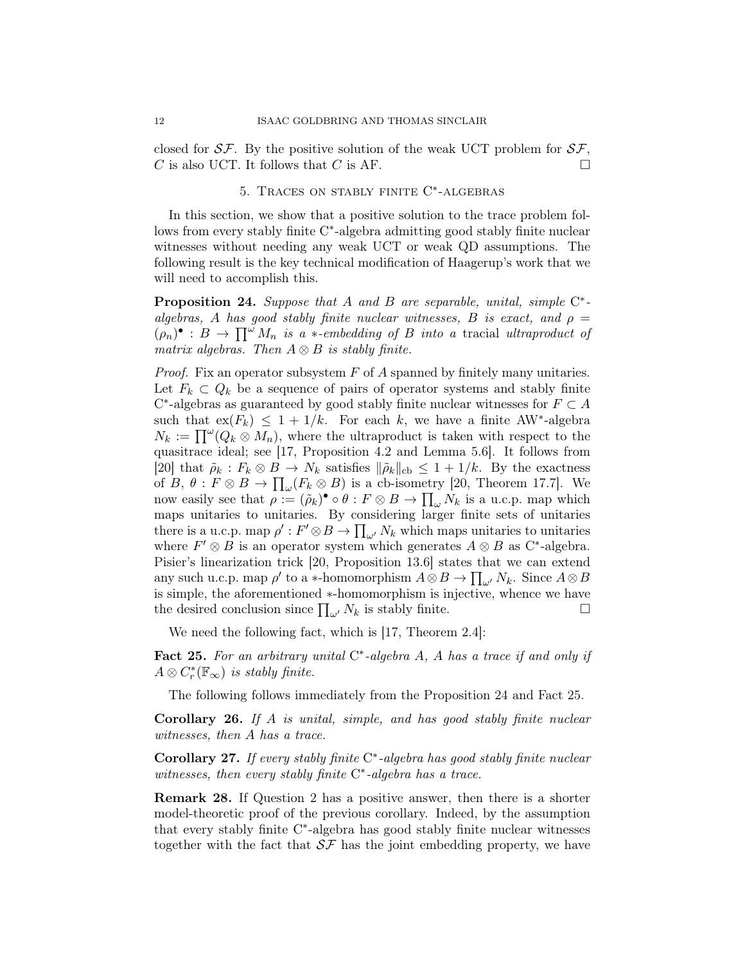closed for  $S\mathcal{F}$ . By the positive solution of the weak UCT problem for  $S\mathcal{F}$ , C is also UCT. It follows that C is AF.

# 5. Traces on stably finite C ∗ -algebras

In this section, we show that a positive solution to the trace problem follows from every stably finite C<sup>\*</sup>-algebra admitting good stably finite nuclear witnesses without needing any weak UCT or weak QD assumptions. The following result is the key technical modification of Haagerup's work that we will need to accomplish this.

**Proposition 24.** Suppose that A and B are separable, unital, simple  $C^*$ algebras, A has good stably finite nuclear witnesses, B is exact, and  $\rho =$  $(\rho_n)^{\bullet}: B \to \prod^{\omega} M_n$  is a \*-embedding of B into a tracial ultraproduct of matrix algebras. Then  $A \otimes B$  is stably finite.

*Proof.* Fix an operator subsystem  $F$  of  $\tilde{A}$  spanned by finitely many unitaries. Let  $F_k \subset Q_k$  be a sequence of pairs of operator systems and stably finite  $C^*$ -algebras as guaranteed by good stably finite nuclear witnesses for  $F \subset A$ such that  $ex(F_k) \leq 1 + 1/k$ . For each k, we have a finite AW<sup>\*</sup>-algebra  $N_k := \prod^{\omega} (Q_k \otimes M_n)$ , where the ultraproduct is taken with respect to the quasitrace ideal; see [17, Proposition 4.2 and Lemma 5.6]. It follows from [20] that  $\tilde{\rho}_k : F_k \otimes B \to N_k$  satisfies  $\|\tilde{\rho}_k\|_{cb} \leq 1 + 1/k$ . By the exactness of  $B, \theta : F \otimes B \to \prod_{\omega} (F_k \otimes B)$  is a cb-isometry [20, Theorem 17.7]. We now easily see that  $\rho := (\tilde{\rho}_k)^{\bullet} \circ \theta : F \otimes B \to \prod_{\omega} N_k$  is a u.c.p. map which maps unitaries to unitaries. By considering larger finite sets of unitaries there is a u.c.p. map  $\rho' : F' \otimes B \to \prod_{\omega'} N_k$  which maps unitaries to unitaries where  $F' \otimes B$  is an operator system which generates  $A \otimes B$  as C<sup>\*</sup>-algebra. Pisier's linearization trick [20, Proposition 13.6] states that we can extend any such u.c.p. map  $\rho'$  to a ∗-homomorphism  $A \otimes B \to \prod_{\omega'} N_k$ . Since  $A \otimes B$ is simple, the aforementioned ∗-homomorphism is injective, whence we have the desired conclusion since  $\prod_{\omega'} N_k$  is stably finite.

We need the following fact, which is [17, Theorem 2.4]:

Fact 25. For an arbitrary unital  $C^*$ -algebra A, A has a trace if and only if  $A \otimes C_r^*(\mathbb{F}_{\infty})$  is stably finite.

The following follows immediately from the Proposition 24 and Fact 25.

Corollary 26. If A is unital, simple, and has good stably finite nuclear witnesses, then A has a trace.

Corollary 27. If every stably finite C<sup>\*</sup>-algebra has good stably finite nuclear witnesses, then every stably finite C<sup>\*</sup>-algebra has a trace.

Remark 28. If Question 2 has a positive answer, then there is a shorter model-theoretic proof of the previous corollary. Indeed, by the assumption that every stably finite C<sup>\*</sup>-algebra has good stably finite nuclear witnesses together with the fact that  $S\mathcal{F}$  has the joint embedding property, we have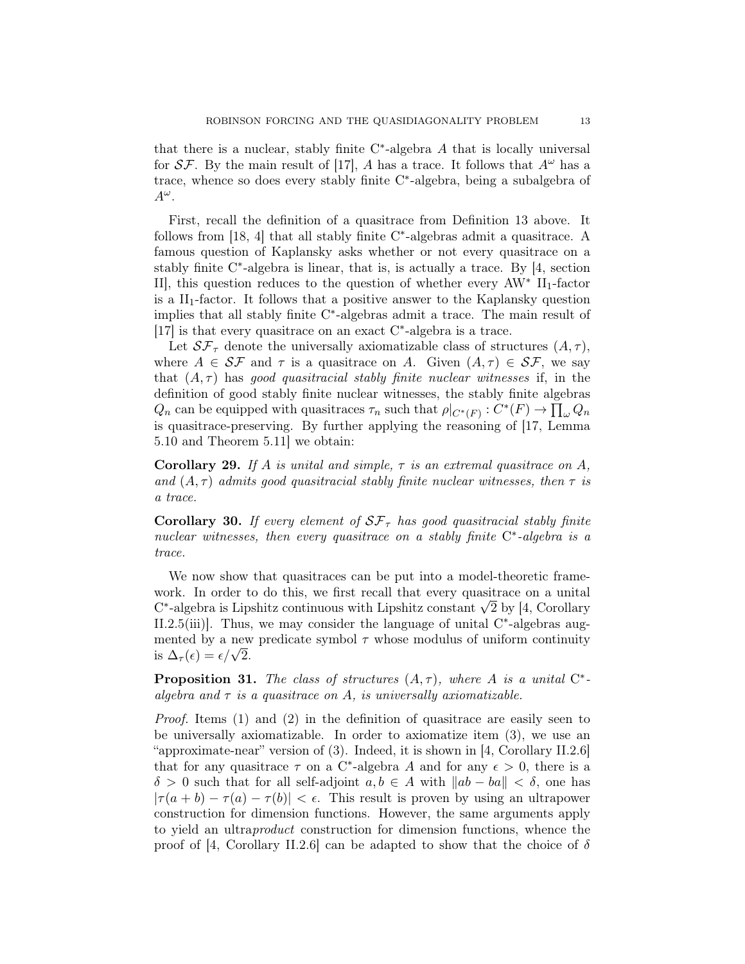that there is a nuclear, stably finite  $C^*$ -algebra  $A$  that is locally universal for  $S\mathcal{F}$ . By the main result of [17], A has a trace. It follows that  $A^{\omega}$  has a trace, whence so does every stably finite C<sup>\*</sup>-algebra, being a subalgebra of  $A^{\omega}$ .

First, recall the definition of a quasitrace from Definition 13 above. It follows from [18, 4] that all stably finite C<sup>\*</sup>-algebras admit a quasitrace. A famous question of Kaplansky asks whether or not every quasitrace on a stably finite C<sup>\*</sup>-algebra is linear, that is, is actually a trace. By [4, section II], this question reduces to the question of whether every  $AW^*$  II<sub>1</sub>-factor is a  $II_1$ -factor. It follows that a positive answer to the Kaplansky question implies that all stably finite C<sup>\*</sup>-algebras admit a trace. The main result of [17] is that every quasitrace on an exact  $C^*$ -algebra is a trace.

Let  $\mathcal{SF}_{\tau}$  denote the universally axiomatizable class of structures  $(A, \tau)$ , where  $A \in \mathcal{SF}$  and  $\tau$  is a quasitrace on A. Given  $(A, \tau) \in \mathcal{SF}$ , we say that  $(A, \tau)$  has good quasitracial stably finite nuclear witnesses if, in the definition of good stably finite nuclear witnesses, the stably finite algebras  $Q_n$  can be equipped with quasitraces  $\tau_n$  such that  $\rho|_{C^*(F)}: C^*(F) \to \prod_{\omega} Q_n$ is quasitrace-preserving. By further applying the reasoning of [17, Lemma 5.10 and Theorem 5.11] we obtain:

**Corollary 29.** If A is unital and simple,  $\tau$  is an extremal quasitrace on A, and  $(A, \tau)$  admits good quasitracial stably finite nuclear witnesses, then  $\tau$  is a trace.

Corollary 30. If every element of  $S\mathcal{F}_{\tau}$  has good quasitracial stably finite nuclear witnesses, then every quasitrace on a stably finite  $C^*$ -algebra is a trace.

We now show that quasitraces can be put into a model-theoretic framework. In order to do this, we first recall that every quasitrace on a unital work. In order to do this, we first recall that every quasitrace on a unital  $C^*$ -algebra is Lipshitz continuous with Lipshitz constant  $\sqrt{2}$  by [4, Corollary II.2.5(iii)]. Thus, we may consider the language of unital  $C^*$ -algebras augmented by a new predicate symbol  $\tau$  whose modulus of uniform continuity mented by a new<br>is  $\Delta_{\tau}(\epsilon) = \epsilon/\sqrt{2}$ .

**Proposition 31.** The class of structures  $(A, \tau)$ , where A is a unital  $C^*$ algebra and  $\tau$  is a quasitrace on A, is universally axiomatizable.

*Proof.* Items  $(1)$  and  $(2)$  in the definition of quasitrace are easily seen to be universally axiomatizable. In order to axiomatize item (3), we use an "approximate-near" version of (3). Indeed, it is shown in [4, Corollary II.2.6] that for any quasitrace  $\tau$  on a C<sup>\*</sup>-algebra A and for any  $\epsilon > 0$ , there is a  $\delta > 0$  such that for all self-adjoint  $a, b \in A$  with  $||ab - ba|| < \delta$ , one has  $|\tau(a + b) - \tau(a) - \tau(b)| < \epsilon$ . This result is proven by using an ultrapower construction for dimension functions. However, the same arguments apply to yield an ultraproduct construction for dimension functions, whence the proof of [4, Corollary II.2.6] can be adapted to show that the choice of  $\delta$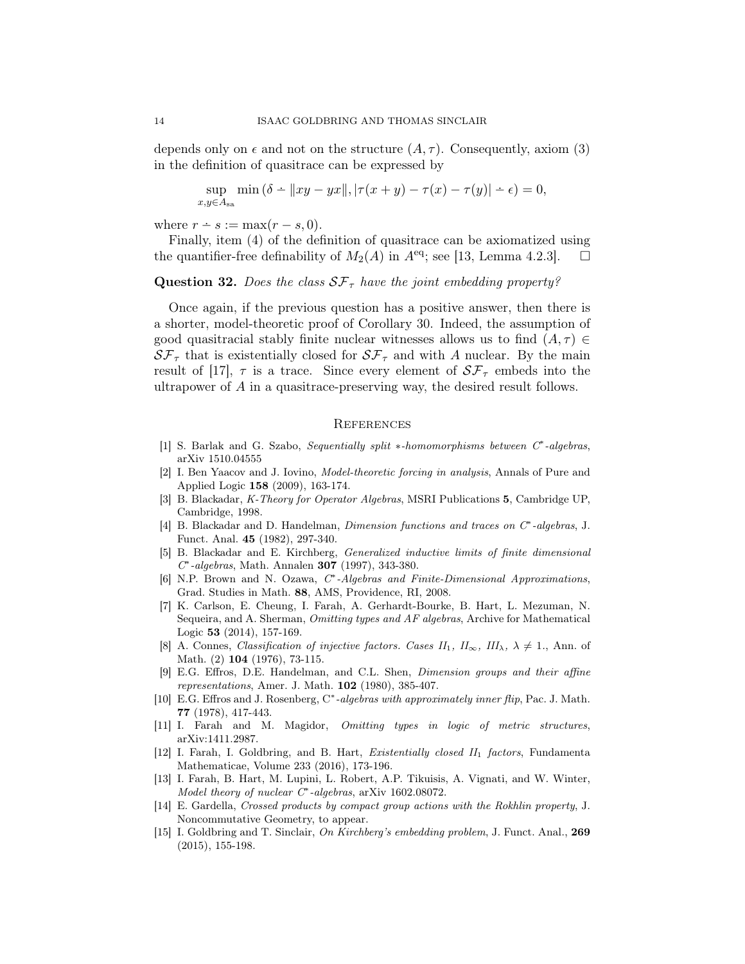depends only on  $\epsilon$  and not on the structure  $(A, \tau)$ . Consequently, axiom (3) in the definition of quasitrace can be expressed by

$$
\sup_{y \in A_{\text{sa}}} \min (\delta - ||xy - yx||, |\tau(x + y) - \tau(x) - \tau(y)| - \epsilon) = 0,
$$

where  $r \div s := \max(r - s, 0)$ .

 $\overline{x}$ 

Finally, item (4) of the definition of quasitrace can be axiomatized using the quantifier-free definability of  $M_2(A)$  in  $A^{eq}$ ; see [13, Lemma 4.2.3].  $\Box$ 

## **Question 32.** Does the class  $SF_\tau$  have the joint embedding property?

Once again, if the previous question has a positive answer, then there is a shorter, model-theoretic proof of Corollary 30. Indeed, the assumption of good quasitracial stably finite nuclear witnesses allows us to find  $(A, \tau) \in$  $S\mathcal{F}_{\tau}$  that is existentially closed for  $S\mathcal{F}_{\tau}$  and with A nuclear. By the main result of [17],  $\tau$  is a trace. Since every element of  $S\mathcal{F}_{\tau}$  embeds into the ultrapower of A in a quasitrace-preserving way, the desired result follows.

#### **REFERENCES**

- [1] S. Barlak and G. Szabo, Sequentially split \*-homomorphisms between C<sup>\*</sup>-algebras, arXiv 1510.04555
- [2] I. Ben Yaacov and J. Iovino, Model-theoretic forcing in analysis, Annals of Pure and Applied Logic 158 (2009), 163-174.
- [3] B. Blackadar, K-Theory for Operator Algebras, MSRI Publications 5, Cambridge UP, Cambridge, 1998.
- [4] B. Blackadar and D. Handelman, *Dimension functions and traces on C<sup>∗</sup>-algebras*, J. Funct. Anal. 45 (1982), 297-340.
- [5] B. Blackadar and E. Kirchberg, Generalized inductive limits of finite dimensional C ∗ -algebras, Math. Annalen 307 (1997), 343-380.
- [6] N.P. Brown and N. Ozawa, C\*-Algebras and Finite-Dimensional Approximations, Grad. Studies in Math. 88, AMS, Providence, RI, 2008.
- [7] K. Carlson, E. Cheung, I. Farah, A. Gerhardt-Bourke, B. Hart, L. Mezuman, N. Sequeira, and A. Sherman, Omitting types and AF algebras, Archive for Mathematical Logic 53 (2014), 157-169.
- [8] A. Connes, Classification of injective factors. Cases  $II_1$ ,  $II_\infty$ ,  $III_\lambda$ ,  $\lambda \neq 1$ ., Ann. of Math. (2) 104 (1976), 73-115.
- [9] E.G. Effros, D.E. Handelman, and C.L. Shen, Dimension groups and their affine representations, Amer. J. Math. 102 (1980), 385-407.
- [10] E.G. Effros and J. Rosenberg, C\*-algebras with approximately inner flip, Pac. J. Math. 77 (1978), 417-443.
- [11] I. Farah and M. Magidor, Omitting types in logic of metric structures, arXiv:1411.2987.
- [12] I. Farah, I. Goldbring, and B. Hart, *Existentially closed II*<sub>1</sub> factors, Fundamenta Mathematicae, Volume 233 (2016), 173-196.
- [13] I. Farah, B. Hart, M. Lupini, L. Robert, A.P. Tikuisis, A. Vignati, and W. Winter, Model theory of nuclear C<sup>∗</sup>-algebras, arXiv 1602.08072.
- [14] E. Gardella, Crossed products by compact group actions with the Rokhlin property, J. Noncommutative Geometry, to appear.
- [15] I. Goldbring and T. Sinclair, On Kirchberg's embedding problem, J. Funct. Anal., 269 (2015), 155-198.